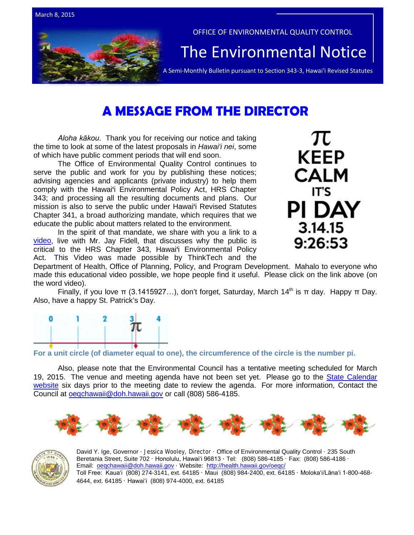

# **A MESSAGE FROM THE DIRECTOR**

*Aloha kākou*. Thank you for receiving our notice and taking the time to look at some of the latest proposals in *Hawai'i nei*, some of which have public comment periods that will end soon.

The Office of Environmental Quality Control continues to serve the public and work for you by publishing these notices; advising agencies and applicants (private industry) to help them comply with the Hawai'i Environmental Policy Act, HRS Chapter 343; and processing all the resulting documents and plans. Our mission is also to serve the public under Hawai'i Revised Statutes Chapter 341, a broad authorizing mandate, which requires that we educate the public about matters related to the environment.

In the spirit of that mandate, we share with you a link to a [video,](https://www.youtube.com/watch?v=CeQPza6Vly0&feature=youtu.be) live with Mr. Jay Fidell, that discusses why the public is critical to the HRS Chapter 343, Hawai'i Environmental Policy Act. This Video was made possible by ThinkTech and the



Department of Health, Office of Planning, Policy, and Program Development. Mahalo to everyone who made this educational video possible, we hope people find it useful. Please click on the link above (on the word video).

Finally, if you love π (3.1415927...), don't forget, Saturday, March 14<sup>th</sup> is π day. Happy π Day. Also, have a happy St. Patrick's Day.



**For a unit circle (of diameter equal to one), the circumference of the circle is the number pi.**

Also, please note that the Environmental Council has a tentative meeting scheduled for March 19, 2015. The venue and meeting agenda have not been set yet. Please go to the [State Calendar](http://calendar.ehawaii.gov/calendar/html/event/2015/3/6/?viewperiod=3¤tViewtype=2&viewtype=2)  [website](http://calendar.ehawaii.gov/calendar/html/event/2015/3/6/?viewperiod=3¤tViewtype=2&viewtype=2) six days prior to the meeting date to review the agenda. For more information, Contact the Council at [oeqchawaii@doh.hawaii.gov](mailto:oeqchawaii@doh.hawaii.gov) or call (808) 586-4185.





David Y. Ige, Governor · Jessica Wooley, Director · Office of Environmental Quality Control · 235 South Beretania Street, Suite 702 · Honolulu, Hawaiʻi 96813 ∙ Tel: (808) 586-4185 · Fax: (808) 586-4186 · Email: [oeqchawaii@doh.hawaii.gov](mailto:oeqchawaii@doh.hawaii.gov) · Website:<http://health.hawaii.gov/oeqc/> Toll Free: Kauaʻi (808) 274-3141, ext. 64185 · Maui (808) 984-2400, ext. 64185 · Molokaʻi/Lānaʻi 1-800-468- 4644, ext. 64185 · Hawaiʻi (808) 974-4000, ext. 64185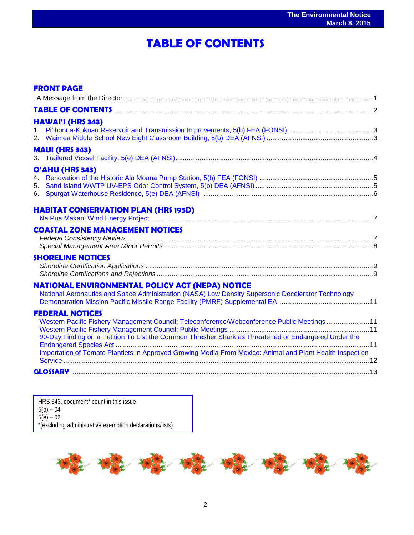## ֖֦֧֢ׅ֚֚֚֚֚֚֚֚֚֚֚֚֚֚֚֚֚֚֚֚֚֚֬֡֡֡֡֡֡֡֡֡֬֝֓֡֡֡֡֬ **TABLE OF CONTENTS**

| <b>FRONT PAGE</b>                                                                                                                                                                                                            |  |
|------------------------------------------------------------------------------------------------------------------------------------------------------------------------------------------------------------------------------|--|
|                                                                                                                                                                                                                              |  |
|                                                                                                                                                                                                                              |  |
| <b>HAWAI'I (HRS 343)</b>                                                                                                                                                                                                     |  |
|                                                                                                                                                                                                                              |  |
| <b>MAUI (HRS 343)</b>                                                                                                                                                                                                        |  |
| O'AHU (HRS 343)                                                                                                                                                                                                              |  |
| <b>HABITAT CONSERVATION PLAN (HRS 195D)</b>                                                                                                                                                                                  |  |
| <b>COASTAL ZONE MANAGEMENT NOTICES</b>                                                                                                                                                                                       |  |
| <b>SHORELINE NOTICES</b>                                                                                                                                                                                                     |  |
| NATIONAL ENVIRONMENTAL POLICY ACT (NEPA) NOTICE<br>National Aeronautics and Space Administration (NASA) Low Density Supersonic Decelerator Technology                                                                        |  |
| <b>FEDERAL NOTICES</b><br>Western Pacific Fishery Management Council; Teleconference/Webconference Public Meetings11<br>90-Day Finding on a Petition To List the Common Thresher Shark as Threatened or Endangered Under the |  |
| Importation of Tomato Plantlets in Approved Growing Media From Mexico: Animal and Plant Health Inspection                                                                                                                    |  |
|                                                                                                                                                                                                                              |  |

HRS 343, document<sup>\*</sup> count in this issue 5(b) – 04 5(e) – 02 \*(excluding administrative exemption declarations/lists)

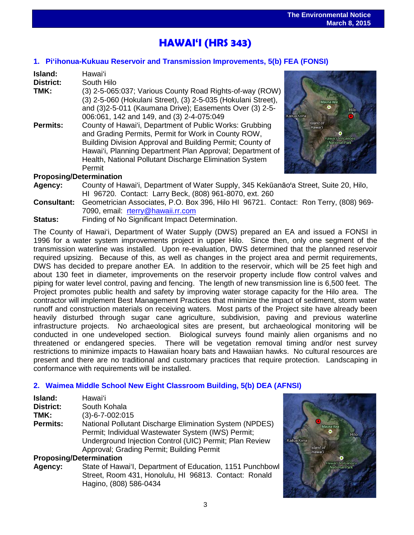## **HAWAI'I (HRS 343)**

## **1. [Pi'ihonua-Kukuau Reservoir and Transmission Improvements, 5\(b\) FEA \(FONSI\)](http://oeqc.doh.hawaii.gov/Shared%20Documents/EA_and_EIS_Online_Library/Hawaii/2010s/2015-03-08-HA-5B-FEA-Piihonua-Kukuau-Reservoir-and-Transmission-Improvements.pdf)**

| Island:                                                                                                                                                                                                                                                                                                                   | Hawai'i                                                                                                                                                                                                                           |  |  |
|---------------------------------------------------------------------------------------------------------------------------------------------------------------------------------------------------------------------------------------------------------------------------------------------------------------------------|-----------------------------------------------------------------------------------------------------------------------------------------------------------------------------------------------------------------------------------|--|--|
| <b>District:</b>                                                                                                                                                                                                                                                                                                          | South Hilo                                                                                                                                                                                                                        |  |  |
| TMK:                                                                                                                                                                                                                                                                                                                      | (3) 2-5-065:037; Various County Road Rights-of-way (ROW)<br>(3) 2-5-060 (Hokulani Street), (3) 2-5-035 (Hokulani Street),<br>and (3)2-5-011 (Kaumana Drive); Easements Over (3) 2-5-<br>006:061, 142 and 149, and (3) 2-4-075:049 |  |  |
| County of Hawai'i, Department of Public Works: Grubbing<br>Permits:<br>and Grading Permits, Permit for Work in County ROW,<br>Building Division Approval and Building Permit; County of<br>Hawai'i, Planning Department Plan Approval; Department of<br>Health, National Pollutant Discharge Elimination System<br>Permit |                                                                                                                                                                                                                                   |  |  |
| <b>Proposing/Determination</b>                                                                                                                                                                                                                                                                                            |                                                                                                                                                                                                                                   |  |  |



- **Agency:** County of Hawai'i, Department of Water Supply, 345 Kekūanāo'a Street, Suite 20, Hilo, HI 96720. Contact: Larry Beck, (808) 961-8070, ext. 260
- **Consultant:** Geometrician Associates, P.O. Box 396, Hilo HI 96721. Contact: Ron Terry, (808) 969- 7090, email: [rterry@hawaii.rr.com](mailto:rterry@hawaii.rr.com)
- **Status:** Finding of No Significant Impact Determination.

The County of Hawai'i, Department of Water Supply (DWS) prepared an EA and issued a FONSI in 1996 for a water system improvements project in upper Hilo. Since then, only one segment of the transmission waterline was installed. Upon re-evaluation, DWS determined that the planned reservoir required upsizing. Because of this, as well as changes in the project area and permit requirements, DWS has decided to prepare another EA. In addition to the reservoir, which will be 25 feet high and about 130 feet in diameter, improvements on the reservoir property include flow control valves and piping for water level control, paving and fencing. The length of new transmission line is 6,500 feet. The Project promotes public health and safety by improving water storage capacity for the Hilo area. The contractor will implement Best Management Practices that minimize the impact of sediment, storm water runoff and construction materials on receiving waters. Most parts of the Project site have already been heavily disturbed through sugar cane agriculture, subdivision, paving and previous waterline infrastructure projects. No archaeological sites are present, but archaeological monitoring will be conducted in one undeveloped section. Biological surveys found mainly alien organisms and no threatened or endangered species. There will be vegetation removal timing and/or nest survey restrictions to minimize impacts to Hawaiian hoary bats and Hawaiian hawks. No cultural resources are present and there are no traditional and customary practices that require protection. Landscaping in conformance with requirements will be installed.

## **2. [Waimea Middle School New Eight Classroom Building, 5\(b\) DEA \(AFNSI\)](http://oeqc.doh.hawaii.gov/Shared%20Documents/EA_and_EIS_Online_Library/Hawaii/2010s/2015-03-08-HA-5B-DEA-Waimea-Middle-School-New-Eight-Classroom-Building.pdf)**

| Island:                        | Hawaiʻi                                                 |  |  |
|--------------------------------|---------------------------------------------------------|--|--|
| District:                      | South Kohala                                            |  |  |
| TMK:                           | $(3)-6-7-002:015$                                       |  |  |
| <b>Permits:</b>                | National Pollutant Discharge Elimination System (NPDES) |  |  |
|                                | Permit; Individual Wastewater System (IWS) Permit;      |  |  |
|                                | Underground Injection Control (UIC) Permit; Plan Review |  |  |
|                                | Approval; Grading Permit; Building Permit               |  |  |
| <b>Proposing/Determination</b> |                                                         |  |  |

## **Agency:** State of Hawai'I, Department of Education, 1151 Punchbowl Street, Room 431, Honolulu, HI 96813. Contact: Ronald Hagino, (808) 586-0434

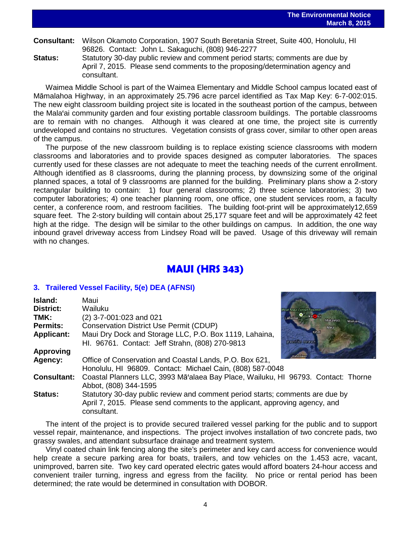# **Consultant:** Wilson Okamoto Corporation, 1907 South Beretania Street, Suite 400, Honolulu, HI 96826. Contact: John L. Sakaguchi, (808) 946-2277

**Status:** Statutory 30-day public review and comment period starts; comments are due by April 7, 2015. Please send comments to the proposing/determination agency and consultant.

Waimea Middle School is part of the Waimea Elementary and Middle School campus located east of Māmalahoa Highway, in an approximately 25.796 acre parcel identified as Tax Map Key: 6-7-002:015. The new eight classroom building project site is located in the southeast portion of the campus, between the Mala'ai community garden and four existing portable classroom buildings. The portable classrooms are to remain with no changes. Although it was cleared at one time, the project site is currently undeveloped and contains no structures. Vegetation consists of grass cover, similar to other open areas of the campus.

The purpose of the new classroom building is to replace existing science classrooms with modern classrooms and laboratories and to provide spaces designed as computer laboratories. The spaces currently used for these classes are not adequate to meet the teaching needs of the current enrollment. Although identified as 8 classrooms, during the planning process, by downsizing some of the original planned spaces, a total of 9 classrooms are planned for the building. Preliminary plans show a 2-story rectangular building to contain: 1) four general classrooms; 2) three science laboratories; 3) two computer laboratories; 4) one teacher planning room, one office, one student services room, a faculty center, a conference room, and restroom facilities. The building foot-print will be approximately12,659 square feet. The 2-story building will contain about 25,177 square feet and will be approximately 42 feet high at the ridge. The design will be similar to the other buildings on campus. In addition, the one way inbound gravel driveway access from Lindsey Road will be paved. Usage of this driveway will remain with no changes.

## **MAUI (HRS 343)**

## **3. [Trailered Vessel Facility, 5\(e\) DEA \(AFNSI\)](http://oeqc.doh.hawaii.gov/Shared%20Documents/EA_and_EIS_Online_Library/Maui/2010s/2015-03-08-MA-5E-DEA-Trailered-Vessel-Facility.pdf)**

| Island:<br><b>District:</b> | Maui<br>Wailuku                                                                                                                                                             | <b>West Maui Forest Reserve</b> |                   |  |
|-----------------------------|-----------------------------------------------------------------------------------------------------------------------------------------------------------------------------|---------------------------------|-------------------|--|
| TMK:                        | (2) 3-7-001:023 and 021                                                                                                                                                     | Lahaina Ka <b>c</b> lui         | Makawao<br>Wailua |  |
| <b>Permits:</b>             | <b>Conservation District Use Permit (CDUP)</b>                                                                                                                              | Maui                            |                   |  |
| <b>Applicant:</b>           | Maui Dry Dock and Storage LLC, P.O. Box 1119, Lahaina,<br>HI. 96761. Contact: Jeff Strahn, (808) 270-9813                                                                   | Kihei<br>pacific ocean          |                   |  |
| <b>Approving</b>            |                                                                                                                                                                             |                                 |                   |  |
| Agency:                     | Office of Conservation and Coastal Lands, P.O. Box 621,<br>Honolulu, HI 96809. Contact: Michael Cain, (808) 587-0048                                                        |                                 |                   |  |
| <b>Consultant:</b>          | Coastal Planners LLC, 3993 Mā'alaea Bay Place, Wailuku, HI 96793. Contact: Thorne<br>Abbot, (808) 344-1595                                                                  |                                 |                   |  |
| <b>Status:</b>              | Statutory 30-day public review and comment period starts; comments are due by<br>April 7, 2015. Please send comments to the applicant, approving agency, and<br>consultant. |                                 |                   |  |

The intent of the project is to provide secured trailered vessel parking for the public and to support vessel repair, maintenance, and inspections. The project involves installation of two concrete pads, two grassy swales, and attendant subsurface drainage and treatment system.

Vinyl coated chain link fencing along the site's perimeter and key card access for convenience would help create a secure parking area for boats, trailers, and tow vehicles on the 1.453 acre, vacant, unimproved, barren site. Two key card operated electric gates would afford boaters 24-hour access and convenient trailer turning, ingress and egress from the facility. No price or rental period has been determined; the rate would be determined in consultation with DOBOR.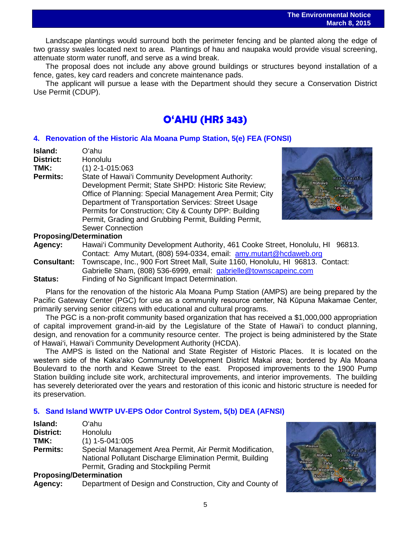Landscape plantings would surround both the perimeter fencing and be planted along the edge of two grassy swales located next to area. Plantings of hau and naupaka would provide visual screening, attenuate storm water runoff, and serve as a wind break.

The proposal does not include any above ground buildings or structures beyond installation of a fence, gates, key card readers and concrete maintenance pads.

The applicant will pursue a lease with the Department should they secure a Conservation District Use Permit (CDUP).

## **O'AHU (HRS 343)**

## **4. [Renovation of the Historic Ala Moana Pump Station, 5\(e\) FEA \(FONSI\)](http://oeqc.doh.hawaii.gov/Shared%20Documents/EA_and_EIS_Online_Library/Oahu/2010s/2015-03-08-OA-5B-FEA-Renovation-of-the-Historic-Ala-Moana-Pump-Station.pdf)**

| Island:         | Oʻahu                                                    |
|-----------------|----------------------------------------------------------|
| District:       | Honolulu                                                 |
| TMK:            | $(1)$ 2-1-015:063                                        |
| <b>Permits:</b> | State of Hawai'i Community Development Authority:        |
|                 | Development Permit; State SHPD: Historic Site Review;    |
|                 | Office of Planning: Special Management Area Permit; City |
|                 | Department of Transportation Services: Street Usage      |
|                 | Permits for Construction; City & County DPP: Building    |
|                 | Permit, Grading and Grubbing Permit, Building Permit,    |
|                 | <b>Sewer Connection</b>                                  |
|                 |                                                          |



## **Proposing/Determination**

**Agency:** Hawai'i Community Development Authority, 461 Cooke Street, Honolulu, HI 96813. Contact: Amy Mutart, (808) 594-0334, email: [amy.mutart@hcdaweb.org](mailto:amy.mutart@hcdaweb.org)

**Consultant:** Townscape, Inc., 900 Fort Street Mall, Suite 1160, Honolulu, HI 96813. Contact: Gabrielle Sham, (808) 536-6999, email: [gabrielle@townscapeinc.com](mailto:gabrielle@townscapeinc.com)

**Status:** Finding of No Significant Impact Determination.

Plans for the renovation of the historic Ala Moana Pump Station (AMPS) are being prepared by the Pacific Gateway Center (PGC) for use as a community resource center, Nā Kūpuna Makamae Center, primarily serving senior citizens with educational and cultural programs.

The PGC is a non-profit community based organization that has received a \$1,000,000 appropriation of capital improvement grand-in-aid by the Legislature of the State of Hawai'i to conduct planning, design, and renovation for a community resource center. The project is being administered by the State of Hawai'i, Hawai'i Community Development Authority (HCDA).

The AMPS is listed on the National and State Register of Historic Places. It is located on the western side of the Kakaʻako Community Development District Makai area; bordered by Ala Moana Boulevard to the north and Keawe Street to the east. Proposed improvements to the 1900 Pump Station building include site work, architectural improvements, and interior improvements. The building has severely deteriorated over the years and restoration of this iconic and historic structure is needed for its preservation.

## **5. [Sand Island WWTP UV-EPS Odor Control System,](http://oeqc.doh.hawaii.gov/Shared%20Documents/EA_and_EIS_Online_Library/Oahu/2010s/2015-03-08-OA-5B-DEA-Sand-Island-WWTP-UV-EPS-Odor-Control-System.pdf) 5(b) DEA (AFNSI)**

| Island:                 | Oʻahu                                                     |
|-------------------------|-----------------------------------------------------------|
| <b>District:</b>        | <b>Honolulu</b>                                           |
| TMK:                    | $(1)$ 1-5-041:005                                         |
| <b>Permits:</b>         | Special Management Area Permit, Air Permit Modification,  |
|                         | National Pollutant Discharge Elimination Permit, Building |
|                         | Permit, Grading and Stockpiling Permit                    |
| Dranasing/Determination |                                                           |

### **Proposing/Determination**

**Agency:** Department of Design and Construction, City and County of

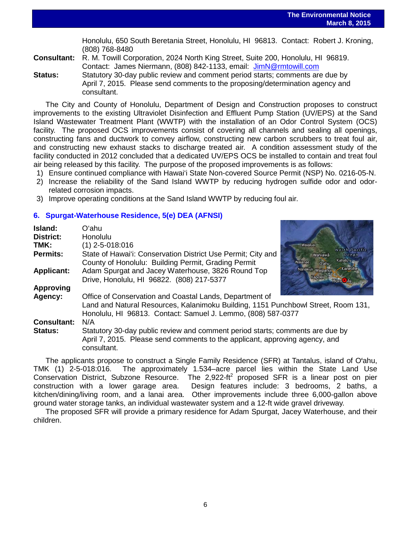Honolulu, 650 South Beretania Street, Honolulu, HI 96813. Contact: Robert J. Kroning, (808) 768-8480

**Consultant:** R. M. Towill Corporation, 2024 North King Street, Suite 200, Honolulu, HI 96819. Contact: James Niermann, (808) 842-1133, email: [JimN@rmtowill.com](mailto:JimN@rmtowill.com)

**Status:** Statutory 30-day public review and comment period starts; comments are due by April 7, 2015. Please send comments to the proposing/determination agency and consultant.

The City and County of Honolulu, Department of Design and Construction proposes to construct improvements to the existing Ultraviolet Disinfection and Effluent Pump Station (UV/EPS) at the Sand Island Wastewater Treatment Plant (WWTP) with the installation of an Odor Control System (OCS) facility. The proposed OCS improvements consist of covering all channels and sealing all openings, constructing fans and ductwork to convey airflow, constructing new carbon scrubbers to treat foul air, and constructing new exhaust stacks to discharge treated air. A condition assessment study of the facility conducted in 2012 concluded that a dedicated UV/EPS OCS be installed to contain and treat foul air being released by this facility. The purpose of the proposed improvements is as follows:

- 1) Ensure continued compliance with Hawai'i State Non-covered Source Permit (NSP) No. 0216-05-N.
- 2) Increase the reliability of the Sand Island WWTP by reducing hydrogen sulfide odor and odorrelated corrosion impacts.
- 3) Improve operating conditions at the Sand Island WWTP by reducing foul air.

## **6. [Spurgat-Waterhouse](http://oeqc.doh.hawaii.gov/Shared%20Documents/EA_and_EIS_Online_Library/Oahu/2010s/2015-03-08-OA-5E-DEA-Spurgat-Waterhouse-Residence.pdf) Residence, 5(e) DEA (AFNSI)**

| Island:                                                      | Oʻahu                                                                                                                                                        |                                      |  |  |
|--------------------------------------------------------------|--------------------------------------------------------------------------------------------------------------------------------------------------------------|--------------------------------------|--|--|
| <b>District:</b>                                             | Honolulu                                                                                                                                                     |                                      |  |  |
| TMK:                                                         | $(1)$ 2-5-018:016                                                                                                                                            | Waialua                              |  |  |
| Permits:                                                     | State of Hawai'i: Conservation District Use Permit; City and                                                                                                 | North Pacific<br>Wahiawā<br>$0$ cean |  |  |
|                                                              | County of Honolulu: Building Permit, Grading Permit                                                                                                          | Kahalu'u<br>Waianae                  |  |  |
| <b>Applicant:</b>                                            | Adam Spurgat and Jacey Waterhouse, 3826 Round Top                                                                                                            | Kaneohe<br>Nanakuli Waipahu          |  |  |
|                                                              | Drive, Honolulu, HI 96822. (808) 217-5377                                                                                                                    | Kapolei<br><b>Hone</b> lu            |  |  |
| <b>Approving</b>                                             |                                                                                                                                                              |                                      |  |  |
| Agency:                                                      | Office of Conservation and Coastal Lands, Department of                                                                                                      |                                      |  |  |
|                                                              | Land and Natural Resources, Kalanimoku Building, 1151 Punchbowl Street, Room 131,                                                                            |                                      |  |  |
| Honolulu, HI 96813. Contact: Samuel J. Lemmo, (808) 587-0377 |                                                                                                                                                              |                                      |  |  |
| <b>Consultant:</b>                                           | N/A                                                                                                                                                          |                                      |  |  |
| <b>Status:</b>                                               | Statutory 30-day public review and comment period starts; comments are due by<br>April 7, 2015. Please send comments to the applicant, approving agency, and |                                      |  |  |
|                                                              | consultant.                                                                                                                                                  |                                      |  |  |

The applicants propose to construct a Single Family Residence (SFR) at Tantalus, island of O'ahu, TMK (1) 2-5-018:016. The approximately 1.534–acre parcel lies within the State Land Use Conservation District, Subzone Resource. The 2,922-ft<sup>2</sup> proposed SFR is a linear post on pier construction with a lower garage area. Design features include: 3 bedrooms, 2 baths, a kitchen/dining/living room, and a lanai area. Other improvements include three 6,000-gallon above ground water storage tanks, an individual wastewater system and a 12-ft wide gravel driveway.

The proposed SFR will provide a primary residence for Adam Spurgat, Jacey Waterhouse, and their children.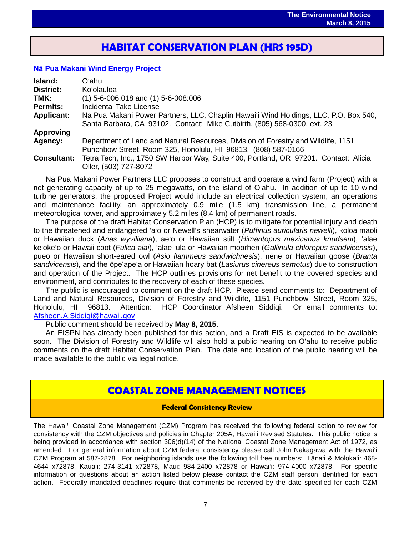## **HABITAT CONSERVATION PLAN (HRS 195D)**

֖֖֖֖֖֖֖֖֖֖֖ׅ֖ׅ֧֖֧֧֧֚֚֚֚֚֚֚֚֚֚֚֚֚֚֚֚֚֚֚֬֝֝֝֓֡֬֝֓֬֝֓֡֬֓֞֡֬֓֝֓֝֬֝֓֞֝֬֝֓֞֝֬֝֓֞֝֬

## **Nā [Pua Makani Wind Energy Project](http://oeqc.doh.hawaii.gov/Shared%20Documents/EA_and_EIS_Online_Library/NEPA%20and%20Other%20Documents/2015-03-08-HCP-Na-Pua-Makani-Wind-Energy-Project.pdf)**

| Island:            | Oʻahu                                                                                                                                                            |  |  |  |  |
|--------------------|------------------------------------------------------------------------------------------------------------------------------------------------------------------|--|--|--|--|
| <b>District:</b>   | Ko'olauloa                                                                                                                                                       |  |  |  |  |
| TMK:               | $(1)$ 5-6-006:018 and $(1)$ 5-6-008:006                                                                                                                          |  |  |  |  |
| <b>Permits:</b>    | Incidental Take License                                                                                                                                          |  |  |  |  |
| <b>Applicant:</b>  | Na Pua Makani Power Partners, LLC, Chaplin Hawai'i Wind Holdings, LLC, P.O. Box 540,<br>Santa Barbara, CA 93102. Contact: Mike Cutbirth, (805) 568-0300, ext. 23 |  |  |  |  |
| <b>Approving</b>   |                                                                                                                                                                  |  |  |  |  |
| Agency:            | Department of Land and Natural Resources, Division of Forestry and Wildlife, 1151<br>Punchbow Street, Room 325, Honolulu, HI 96813. (808) 587-0166               |  |  |  |  |
| <b>Consultant:</b> | Tetra Tech, Inc., 1750 SW Harbor Way, Suite 400, Portland, OR 97201. Contact: Alicia<br>Oller, (503) 727-8072                                                    |  |  |  |  |

Nā Pua Makani Power Partners LLC proposes to construct and operate a wind farm (Project) with a net generating capacity of up to 25 megawatts, on the island of O'ahu. In addition of up to 10 wind turbine generators, the proposed Project would include an electrical collection system, an operations and maintenance facility, an approximately 0.9 mile (1.5 km) transmission line, a permanent meteorological tower, and approximately 5.2 miles (8.4 km) of permanent roads.

The purpose of the draft Habitat Conservation Plan (HCP) is to mitigate for potential injury and death to the threatened and endangered 'a'o or Newell's shearwater (*Puffinus auricularis newelli*), koloa maoli or Hawaiian duck (*Anas wyvilliana*), ae'o or Hawaiian stilt (*Himantopus mexicanus knudseni*), 'alae ke'oke'o or Hawaii coot (*Fulica alai*), 'alae 'ula or Hawaiian moorhen (*Gallinula chloropus sandvicensis*), pueo or Hawaiian short-eared owl (*Asio flammeus sandwichnesis*), nēnē or Hawaiian goose (*Branta sandvicensis*), and the ōpe'ape'a or Hawaiian hoary bat (*Lasiurus cinereus semotus*) due to construction and operation of the Project. The HCP outlines provisions for net benefit to the covered species and environment, and contributes to the recovery of each of these species.

The public is encouraged to comment on the draft HCP. Please send comments to: Department of Land and Natural Resources, Division of Forestry and Wildlife, 1151 Punchbowl Street, Room 325, Honolulu, HI 96813. Attention: HCP Coordinator Afsheen Siddiqi. Or email comments to: [Afsheen.A.Siddiqi@hawaii.gov](mailto:Afsheen.A.Siddiqi@hawaii.gov)

Public comment should be received by **May 8, 2015**.

An EISPN has already been published for this action, and a Draft EIS is expected to be available soon. The Division of Forestry and Wildlife will also hold a public hearing on O'ahu to receive public comments on the draft Habitat Conservation Plan. The date and location of the public hearing will be made available to the public via legal notice.

## **COASTAL ZONE MANAGEMENT NOTICES**

### **Federal Consistency Review**

The Hawai'i Coastal Zone Management (CZM) Program has received the following federal action to review for consistency with the CZM objectives and policies in Chapter 205A, Hawai'i Revised Statutes. This public notice is being provided in accordance with section 306(d)(14) of the National Coastal Zone Management Act of 1972, as amended. For general information about CZM federal consistency please call John Nakagawa with the Hawai'i CZM Program at 587-2878. For neighboring islands use the following toll free numbers: Lāna'i & Moloka'i: 468- 4644 x72878, Kaua'i: 274-3141 x72878, Maui: 984-2400 x72878 or Hawai'i: 974-4000 x72878. For specific information or questions about an action listed below please contact the CZM staff person identified for each action. Federally mandated deadlines require that comments be received by the date specified for each CZM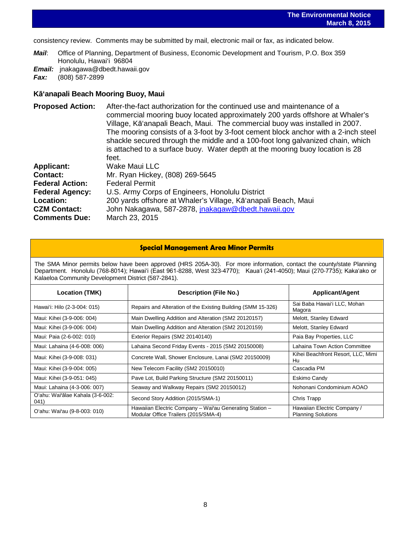consistency review. Comments may be submitted by mail, electronic mail or fax, as indicated below.

*Mail*: Office of Planning, Department of Business, Economic Development and Tourism, P.O. Box 359 Honolulu, Hawai'i 96804

**Email:** [jnakagawa@dbedt.hawaii.gov](mailto:jnakagawa@dbedt.hawaii.gov)<br>**Fax:** (808) 587-2899

*Fax:* (808) 587-2899

## **Kā'anapali Beach Mooring Buoy, Maui**

| <b>Proposed Action:</b> | After-the-fact authorization for the continued use and maintenance of a            |
|-------------------------|------------------------------------------------------------------------------------|
|                         | commercial mooring buoy located approximately 200 yards offshore at Whaler's       |
|                         | Village, Kā'anapali Beach, Maui. The commercial buoy was installed in 2007.        |
|                         | The mooring consists of a 3-foot by 3-foot cement block anchor with a 2-inch steel |
|                         | shackle secured through the middle and a 100-foot long galvanized chain, which     |
|                         | is attached to a surface buoy. Water depth at the mooring buoy location is 28      |
|                         | feet.                                                                              |
| <b>Applicant:</b>       | Wake Maui LLC                                                                      |
| Contact:                | Mr. Ryan Hickey, (808) 269-5645                                                    |
| <b>Federal Action:</b>  | <b>Federal Permit</b>                                                              |
| <b>Federal Agency:</b>  | U.S. Army Corps of Engineers, Honolulu District                                    |
| <b>Location:</b>        | 200 yards offshore at Whaler's Village, Kā'anapali Beach, Maui                     |
| <b>CZM Contact:</b>     | John Nakagawa, 587-2878, jnakagaw@dbedt.hawaii.gov                                 |
| <b>Comments Due:</b>    | March 23, 2015                                                                     |

### **Special Management Area Minor Permits**

The SMA Minor permits below have been approved (HRS 205A-30). For more information, contact the county/state Planning Department. Honolulu (768-8014); Hawaiʻi (East 961-8288, West 323-4770); Kauaʻi (241-4050); Maui (270-7735); Kakaʻako or Kalaeloa Community Development District (587-2841).

| <b>Location (TMK)</b>                    | <b>Description (File No.)</b>                                                                   | <b>Applicant/Agent</b>                                   |
|------------------------------------------|-------------------------------------------------------------------------------------------------|----------------------------------------------------------|
| Hawai'i: Hilo (2-3-004: 015)             | Repairs and Alteration of the Existing Building (SMM 15-326)                                    | Sai Baba Hawai'i LLC, Mohan<br>Magora                    |
| Maui: Kihei (3-9-006: 004)               | Main Dwelling Addition and Alteration (SM2 20120157)                                            | Melott, Stanley Edward                                   |
| Maui: Kihei (3-9-006: 004)               | Main Dwelling Addition and Alteration (SM2 20120159)                                            | Melott, Stanley Edward                                   |
| Maui: Paia (2-6-002: 010)                | Exterior Repairs (SM2 20140140)                                                                 | Paia Bay Properties, LLC                                 |
| Maui: Lahaina (4-6-008: 006)             | Lahaina Second Friday Events - 2015 (SM2 20150008)                                              | Lahaina Town Action Committee                            |
| Maui: Kihei (3-9-008: 031)               | Concrete Wall, Shower Enclosure, Lanai (SM2 20150009)                                           | Kihei Beachfront Resort, LLC, Mimi<br>Hu                 |
| Maui: Kihei (3-9-004: 005)               | New Telecom Facility (SM2 20150010)                                                             | Cascadia PM                                              |
| Maui: Kihei (3-9-051: 045)               | Pave Lot, Build Parking Structure (SM2 20150011)                                                | Eskimo Candy                                             |
| Maui: Lahaina (4-3-006: 007)             | Seaway and Walkway Repairs (SM2 20150012)                                                       | Nohonani Condominium AOAO                                |
| O'ahu: Wai'ālae Kahala (3-6-002:<br>041) | Second Story Addition (2015/SMA-1)                                                              | Chris Trapp                                              |
| O'ahu: Wai'au (9-8-003: 010)             | Hawaiian Electric Company - Wai'au Generating Station -<br>Modular Office Trailers (2015/SMA-4) | Hawaiian Electric Company /<br><b>Planning Solutions</b> |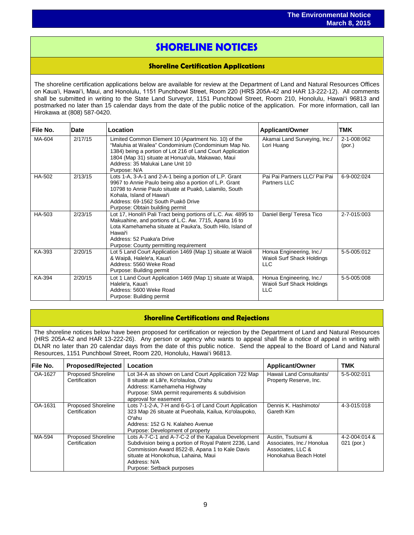## **SHORELINE NOTICES**

֖֖֖֖֖֖֖֖֖֖֖֧ׅ֖֧֧֧֧֚֚֚֚֚֚֚֚֚֚֚֚֚֚֚֚֚֚֚֚֚֬֝֝֝֓֞֡֞֡֡֬֓֞֡֞֡֞֝֓֞֡֞֞֡֞֞֡֞֡֞֞֡֞֡֞֡֞֡֞֝֞֞

### **Shoreline Certification Applications**

The shoreline certification applications below are available for review at the Department of Land and Natural Resources Offices on Kauaʻi, Hawaiʻi, Maui, and Honolulu, 1151 Punchbowl Street, Room 220 (HRS 205A-42 and HAR 13-222-12). All comments shall be submitted in writing to the State Land Surveyor, 1151 Punchbowl Street, Room 210, Honolulu, Hawai'i 96813 and postmarked no later than 15 calendar days from the date of the public notice of the application. For more information, call Ian Hirokawa at (808) 587-0420.

| File No. | Date    | Location                                                                                                                                                                                                                                                                           | <b>Applicant/Owner</b>                                               | TMK                   |
|----------|---------|------------------------------------------------------------------------------------------------------------------------------------------------------------------------------------------------------------------------------------------------------------------------------------|----------------------------------------------------------------------|-----------------------|
| MA-604   | 2/17/15 | Limited Common Element 10 (Apartment No. 10) of the<br>"Maluhia at Wailea" Condominium (Condominium Map No.<br>1384) being a portion of Lot 216 of Land Court Application<br>1804 (Map 31) situate at Honua'ula, Makawao, Maui<br>Address: 35 Malukai Lane Unit 10<br>Purpose: N/A | Akamai Land Surveying, Inc./<br>Lori Huang                           | 2-1-008:062<br>(por.) |
| HA-502   | 2/13/15 | Lots 1-A, 3-A-1 and 2-A-1 being a portion of L.P. Grant<br>9967 to Annie Paulo being also a portion of L.P. Grant<br>10798 to Annie Paulo situate at Puakō, Lalamilo, South<br>Kohala, Island of Hawai'i<br>Address: 69-1562 South Puakō Drive<br>Purpose: Obtain building permit  | Pai Pai Partners LLC/ Pai Pai<br><b>Partners LLC</b>                 | 6-9-002:024           |
| HA-503   | 2/23/15 | Lot 17, Honoli'i Pali Tract being portions of L.C. Aw. 4895 to<br>Makuahine, and portions of L.C. Aw. 7715, Apana 16 to<br>Lota Kamehameha situate at Pauka'a, South Hilo, Island of<br>Hawai'i<br>Address: 52 Puaka'a Drive<br>Purpose: County permitting requirement             | Daniel Berg/ Teresa Tico                                             | 2-7-015:003           |
| KA-393   | 2/20/15 | Lot 5 Land Court Application 1469 (Map 1) situate at Waioli<br>& Waipā, Halele'a, Kaua'i<br>Address: 5560 Weke Road<br>Purpose: Building permit                                                                                                                                    | Honua Engineering, Inc./<br>Waioli Surf Shack Holdings<br><b>LLC</b> | 5-5-005:012           |
| KA-394   | 2/20/15 | Lot 1 Land Court Application 1469 (Map 1) situate at Waipa,<br>Halele'a, Kaua'i<br>Address: 5600 Weke Road<br>Purpose: Building permit                                                                                                                                             | Honua Engineering, Inc./<br>Waioli Surf Shack Holdings<br><b>LLC</b> | 5-5-005:008           |

## **Shoreline Certifications and Rejections**

The shoreline notices below have been proposed for certification or rejection by the Department of Land and Natural Resources (HRS 205A-42 and HAR 13-222-26). Any person or agency who wants to appeal shall file a notice of appeal in writing with DLNR no later than 20 calendar days from the date of this public notice. Send the appeal to the Board of Land and Natural Resources, 1151 Punchbowl Street, Room 220, Honolulu, Hawai'i 96813.

| File No. | <b>Proposed/Rejected</b>                   | Location                                                                                                                                                                                                                                            | <b>Applicant/Owner</b>                                                                        | <b>TMK</b>                    |
|----------|--------------------------------------------|-----------------------------------------------------------------------------------------------------------------------------------------------------------------------------------------------------------------------------------------------------|-----------------------------------------------------------------------------------------------|-------------------------------|
| OA-1627  | <b>Proposed Shoreline</b><br>Certification | Lot 34-A as shown on Land Court Application 722 Map<br>8 situate at Lāi'e, Ko'olauloa, O'ahu<br>Address: Kamehameha Highway<br>Purpose: SMA permit requirements & subdivision<br>approval for easement                                              | Hawaii Land Consultants/<br>Property Reserve, Inc.                                            | 5-5-002:011                   |
| OA-1631  | <b>Proposed Shoreline</b><br>Certification | Lots 7-1-2-A, 7-H and 6-G-1 of Land Court Application<br>323 Map 26 situate at Pueohala, Kailua, Ko'olaupoko,<br>Oʻahu<br>Address: 152 G N. Kalaheo Avenue<br>Purpose: Development of property                                                      | Dennis K. Hashimoto/<br>Gareth Kim                                                            | 4-3-015:018                   |
| MA-594   | <b>Proposed Shoreline</b><br>Certification | Lots A-7-C-1 and A-7-C-2 of the Kapalua Development<br>Subdivision being a portion of Royal Patent 2236, Land<br>Commission Award 8522-B, Apana 1 to Kale Davis<br>situate at Honokohua, Lahaina, Maui<br>Address: N/A<br>Purpose: Setback purposes | Austin, Tsutsumi &<br>Associates, Inc./ Honolua<br>Associates, LLC &<br>Honokahua Beach Hotel | 4-2-004:014 &<br>$021$ (por.) |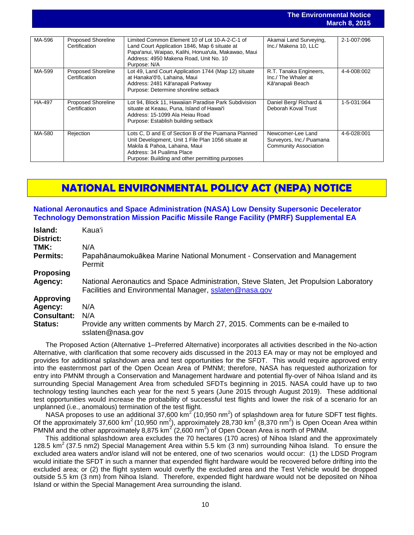|        |                                            |                                                                                                                                                                                                                            |                                                                               | <b>March 8, 2015</b> |
|--------|--------------------------------------------|----------------------------------------------------------------------------------------------------------------------------------------------------------------------------------------------------------------------------|-------------------------------------------------------------------------------|----------------------|
| MA-596 | <b>Proposed Shoreline</b><br>Certification | Limited Common Element 10 of Lot 10-A-2-C-1 of<br>Land Court Application 1846, Map 6 situate at<br>Papa'anui, Waipao, Kalihi, Honua'ula, Makawao, Maui<br>Address: 4950 Makena Road, Unit No. 10<br>Purpose: N/A           | Akamai Land Surveying,<br>Inc./ Makena 10, LLC                                | 2-1-007:096          |
| MA-599 | <b>Proposed Shoreline</b><br>Certification | Lot 49, Land Court Application 1744 (Map 12) situate<br>at Hanaka'ō'ō, Lahaina, Maui<br>Address: 2481 Kā'anapali Parkway<br>Purpose: Determine shoreline setback                                                           | R.T. Tanaka Engineers,<br>Inc./ The Whaler at<br>Kā'anapali Beach             | 4-4-008:002          |
| HA-497 | <b>Proposed Shoreline</b><br>Certification | Lot 94, Block 11, Hawaiian Paradise Park Subdivision<br>situate at Keaau, Puna, Island of Hawai'i<br>Address: 15-1099 Ala Heiau Road<br>Purpose: Establish building setback                                                | Daniel Berg/ Richard &<br>Deborah Koval Trust                                 | 1-5-031:064          |
| MA-580 | Rejection                                  | Lots C, D and E of Section B of the Puamana Planned<br>Unit Development, Unit 1 File Plan 1056 situate at<br>Makila & Pahoa, Lahaina, Maui<br>Address: 34 Pualima Place<br>Purpose: Building and other permitting purposes | Newcomer-Lee Land<br>Surveyors, Inc./ Puamana<br><b>Community Association</b> | 4-6-028:001          |

**The Environmental Notice**

## **NATIONAL ENVIRONMENTAL POLICY ACT (NEPA) NOTICE**

### **[National Aeronautics and Space Administration \(NASA\) Low Density Supersonic Decelerator](http://oeqc.doh.hawaii.gov/Shared%20Documents/EA_and_EIS_Online_Library/NEPA%20and%20Other%20Documents/2015-03-08-NEPA-SEA-NASA-Low-Density-Supersonic-Decelerator-Technology-Demonstration-Mission-PMRF.pdf)  [Technology Demonstration Mission Pacific Missile Range Facility \(PMRF\) Supplemental EA](http://oeqc.doh.hawaii.gov/Shared%20Documents/EA_and_EIS_Online_Library/NEPA%20and%20Other%20Documents/2015-03-08-NEPA-SEA-NASA-Low-Density-Supersonic-Decelerator-Technology-Demonstration-Mission-PMRF.pdf)**

| Island:<br><b>District:</b> | Kauaʻi                                                                                                                                           |  |
|-----------------------------|--------------------------------------------------------------------------------------------------------------------------------------------------|--|
| TMK:                        | N/A                                                                                                                                              |  |
| <b>Permits:</b>             | Papahānaumokuākea Marine National Monument - Conservation and Management<br>Permit                                                               |  |
| <b>Proposing</b>            |                                                                                                                                                  |  |
| Agency:                     | National Aeronautics and Space Administration, Steve Slaten, Jet Propulsion Laboratory<br>Facilities and Environmental Manager, sslaten@nasa.gov |  |
| <b>Approving</b>            |                                                                                                                                                  |  |
| Agency:                     | N/A                                                                                                                                              |  |
| <b>Consultant:</b>          | N/A                                                                                                                                              |  |
| <b>Status:</b>              | Provide any written comments by March 27, 2015. Comments can be e-mailed to<br>sslaten@nasa.gov                                                  |  |

The Proposed Action (Alternative 1–Preferred Alternative) incorporates all activities described in the No-action Alternative, with clarification that some recovery aids discussed in the 2013 EA may or may not be employed and provides for additional splashdown area and test opportunities for the SFDT. This would require approved entry into the easternmost part of the Open Ocean Area of PMNM; therefore, NASA has requested authorization for entry into PMNM through a Conservation and Management hardware and potential fly-over of Nihoa Island and its surrounding Special Management Area from scheduled SFDTs beginning in 2015. NASA could have up to two technology testing launches each year for the next 5 years (June 2015 through August 2019). These additional test opportunities would increase the probability of successful test flights and lower the risk of a scenario for an unplanned (i.e., anomalous) termination of the test flight.

NASA proposes to use an additional 37,600 km<sup>2</sup> (10,950 nm<sup>2</sup>) of splashdown area for future SDFT test flights. Of the approximately 37,600 km<sup>2</sup> (10,950 nm<sup>2</sup>), approximately 28,730 km<sup>2</sup> (8,370 nm<sup>2</sup>) is Open Ocean Area within PMNM and the other approximately 8,875 km<sup>2</sup> (2,600 nm<sup>2</sup>) of Open Ocean Area is north of PMNM.

This additional splashdown area excludes the 70 hectares (170 acres) of Nihoa Island and the approximately 128.5 km<sup>2</sup> (37.5 nm2) Special Management Area within 5.5 km (3 nm) surrounding Nihoa Island. To ensure the excluded area waters and/or island will not be entered, one of two scenarios would occur: (1) the LDSD Program would initiate the SFDT in such a manner that expended flight hardware would be recovered before drifting into the excluded area; or (2) the flight system would overfly the excluded area and the Test Vehicle would be dropped outside 5.5 km (3 nm) from Nihoa Island. Therefore, expended flight hardware would not be deposited on Nihoa Island or within the Special Management Area surrounding the island.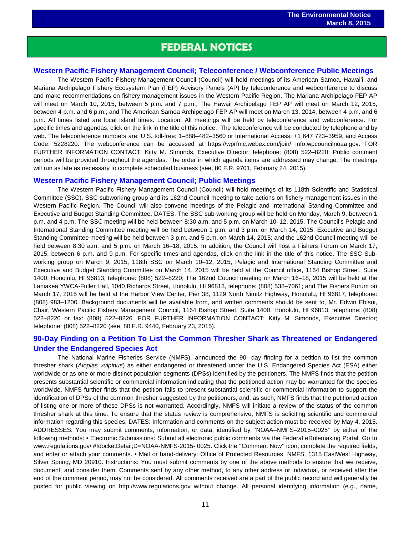## **FEDERAL NOTICES**

 $\overline{a}$ 

### **[Western Pacific Fishery Management Council; Teleconference / Webconference Public Meetings](http://www.gpo.gov/fdsys/pkg/FR-2015-02-24/pdf/2015-03715.pdf)**

The Western Pacific Fishery Management Council (Council) will hold meetings of its American Samoa, Hawai'i, and Mariana Archipelago Fishery Ecosystem Plan (FEP) Advisory Panels (AP) by teleconference and webconference to discuss and make recommendations on fishery management issues in the Western Pacific Region. The Mariana Archipelago FEP AP will meet on March 10, 2015, between 5 p.m. and 7 p.m.; The Hawaii Archipelago FEP AP will meet on March 12, 2015, between 4 p.m. and 6 p.m.; and The American Samoa Archipelago FEP AP will meet on March 13, 2014, between 4 p.m. and 6 p.m. All times listed are local island times. Location: All meetings will be held by teleconference and webconference. For specific times and agendas, click on the link in the title of this notice. The teleconference will be conducted by telephone and by web. The teleconference numbers are: U.S. toll-free: 1–888–482–3560 or International Access: +1 647 723–3959, and Access Code: 5228220. The webconference can be accessed at https://wprfmc.webex.com/join/ info.wpcouncilnoaa.gov. FOR FURTHER INFORMATION CONTACT: Kitty M. Simonds, Executive Director; telephone: (808) 522–8220. Public comment periods will be provided throughout the agendas. The order in which agenda items are addressed may change. The meetings will run as late as necessary to complete scheduled business (see, 80 F.R. 9701, February 24, 2015).

### **[Western Pacific Fishery Management Council; Public Meetings](http://www.gpo.gov/fdsys/pkg/FR-2015-02-23/pdf/2015-03556.pdf)**

The Western Pacific Fishery Management Council (Council) will hold meetings of its 118th Scientific and Statistical Committee (SSC), SSC subworking group and its 162nd Council meeting to take actions on fishery management issues in the Western Pacific Region. The Council will also convene meetings of the Pelagic and International Standing Committee and Executive and Budget Standing Committee. DATES: The SSC sub-working group will be held on Monday, March 9, between 1 p.m. and 4 p.m. The SSC meeting will be held between 8:30 a.m. and 5 p.m. on March 10–12, 2015. The Council's Pelagic and International Standing Committee meeting will be held between 1 p.m. and 3 p.m. on March 14, 2015; Executive and Budget Standing Committee meeting will be held between 3 p.m. and 5 p.m. on March 14, 2015; and the 162nd Council meeting will be held between 8:30 a.m. and 5 p.m. on March 16–18, 2015. In addition, the Council will host a Fishers Forum on March 17, 2015, between 6 p.m. and 9 p.m. For specific times and agendas, click on the link in the title of this notice. The SSC Subworking group on March 9, 2015, 118th SSC on March 10–12, 2015, Pelagic and International Standing Committee and Executive and Budget Standing Committee on March 14, 2015 will be held at the Council office, 1164 Bishop Street, Suite 1400, Honolulu, HI 96813, telephone: (808) 522–8220; The 162nd Council meeting on March 16–18, 2015 will be held at the Laniakea YWCA-Fuller Hall, 1040 Richards Street, Honolulu, HI 96813, telephone: (808) 538–7061; and The Fishers Forum on March 17, 2015 will be held at the Harbor View Center, Pier 38, 1129 North Nimitz Highway, Honolulu, HI 96817, telephone: (808) 983–1200. Background documents will be available from, and written comments should be sent to, Mr. Edwin Ebisui, Chair, Western Pacific Fishery Management Council, 1164 Bishop Street, Suite 1400, Honolulu, HI 96813, telephone: (808) 522–8220 or fax: (808) 522–8226. FOR FURTHER INFORMATION CONTACT: Kitty M. Simonds, Executive Director; telephone: (808) 522–8220 (see, 80 F.R. 9440, February 23, 2015).

## **[90-Day Finding on a Petition To List the Common Thresher Shark as Threatened or Endangered](http://www.gpo.gov/fdsys/pkg/FR-2015-03-03/pdf/2015-04409.pdf)  [Under the Endangered Species Act](http://www.gpo.gov/fdsys/pkg/FR-2015-03-03/pdf/2015-04409.pdf)**

The National Marine Fisheries Service (NMFS), announced the 90- day finding for a petition to list the common thresher shark (*Alopias vulpinus*) as either endangered or threatened under the U.S. Endangered Species Act (ESA) either worldwide or as one or more distinct population segments (DPSs) identified by the petitioners. The NMFS finds that the petition presents substantial scientific or commercial information indicating that the petitioned action may be warranted for the species worldwide. NMFS further finds that the petition fails to present substantial scientific or commercial information to support the identification of DPSs of the common thresher suggested by the petitioners, and, as such, NMFS finds that the petitioned action of listing one or more of these DPSs is not warranted. Accordingly, NMFS will initiate a review of the status of the common thresher shark at this time. To ensure that the status review is comprehensive, NMFS is soliciting scientific and commercial information regarding this species. DATES: Information and comments on the subject action must be received by May 4, 2015. ADDRESSES: You may submit comments, information, or data, identified by ''NOAA–NMFS–2015–0025'' by either of the following methods: • Electronic Submissions: Submit all electronic public comments via the Federal eRulemaking Portal. Go to www.regulations.gov/ #!docketDetail;D=NOAA-NMFS-2015- 0025. Click the "Comment Now" icon, complete the required fields, and enter or attach your comments. • Mail or hand-delivery: Office of Protected Resources, NMFS, 1315 EastWest Highway, Silver Spring, MD 20910. Instructions: You must submit comments by one of the above methods to ensure that we receive, document, and consider them. Comments sent by any other method, to any other address or individual, or received after the end of the comment period, may not be considered. All comments received are a part of the public record and will generally be posted for public viewing on http://www.regulations.gov without change. All personal identifying information (e.g., name,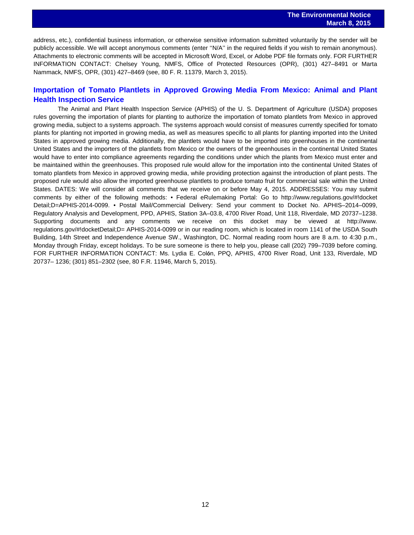andress, etc.), confidential business information, or otherwise sensitive information submitted voluntarily by the sender will be publicly accessible. We will accept anonymous comments (enter "N/A" in the required fields if you wish to remain anonymous). Attachments to electronic comments will be accepted in Microsoft Word, Excel, or Adobe PDF file formats only. FOR FURTHER INFORMATION CONTACT: Chelsey Young, NMFS, Office of Protected Resources (OPR), (301) 427–8491 or Marta Nammack, NMFS, OPR, (301) 427–8469 (see, 80 F. R. 11379, March 3, 2015).

## **[Importation of Tomato Plantlets in Approved Growing Media From Mexico: Animal and Plant](http://www.gpo.gov/fdsys/pkg/FR-2015-03-05/pdf/2015-05058.pdf)  [Health Inspection Service](http://www.gpo.gov/fdsys/pkg/FR-2015-03-05/pdf/2015-05058.pdf)**

The Animal and Plant Health Inspection Service (APHIS) of the U. S. Department of Agriculture (USDA) proposes rules governing the importation of plants for planting to authorize the importation of tomato plantlets from Mexico in approved growing media, subject to a systems approach. The systems approach would consist of measures currently specified for tomato plants for planting not imported in growing media, as well as measures specific to all plants for planting imported into the United States in approved growing media. Additionally, the plantlets would have to be imported into greenhouses in the continental United States and the importers of the plantlets from Mexico or the owners of the greenhouses in the continental United States would have to enter into compliance agreements regarding the conditions under which the plants from Mexico must enter and be maintained within the greenhouses. This proposed rule would allow for the importation into the continental United States of tomato plantlets from Mexico in approved growing media, while providing protection against the introduction of plant pests. The proposed rule would also allow the imported greenhouse plantlets to produce tomato fruit for commercial sale within the United States. DATES: We will consider all comments that we receive on or before May 4, 2015. ADDRESSES: You may submit comments by either of the following methods: • Federal eRulemaking Portal: Go to http://www.regulations.gov/#!docket Detail;D=APHIS-2014-0099. • Postal Mail/Commercial Delivery: Send your comment to Docket No. APHIS–2014–0099, Regulatory Analysis and Development, PPD, APHIS, Station 3A–03.8, 4700 River Road, Unit 118, Riverdale, MD 20737–1238. Supporting documents and any comments we receive on this docket may be viewed at http://www. regulations.gov/#!docketDetail;D= APHIS-2014-0099 or in our reading room, which is located in room 1141 of the USDA South Building, 14th Street and Independence Avenue SW., Washington, DC. Normal reading room hours are 8 a.m. to 4:30 p.m., Monday through Friday, except holidays. To be sure someone is there to help you, please call (202) 799–7039 before coming. FOR FURTHER INFORMATION CONTACT: Ms. Lydia E. Colón, PPQ, APHIS, 4700 River Road, Unit 133, Riverdale, MD 20737– 1236; (301) 851–2302 (see, 80 F.R. 11946, March 5, 2015).